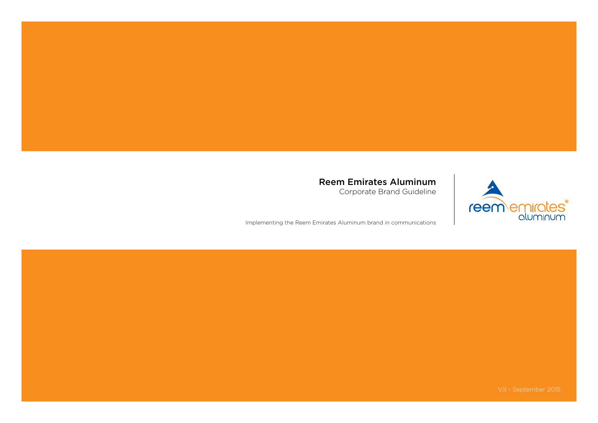### Reem Emirates Aluminum

Corporate Brand Guideline

Implementing the Reem Emirates Aluminum brand in communications



V.II - September 2015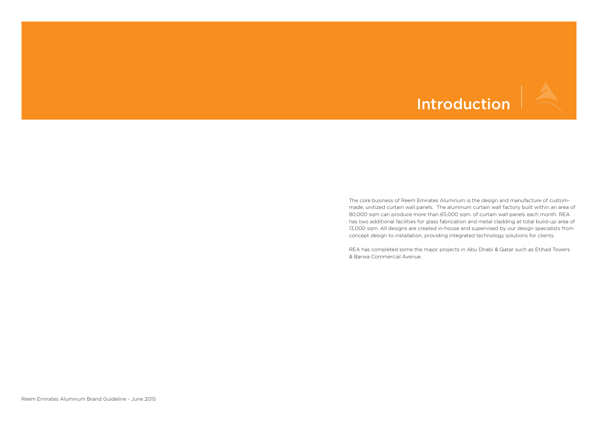## **Introduction**

The core business of Reem Emirates Aluminum is the design and manufacture of custommade, unitized curtain wall panels. The aluminum curtain wall factory built within an area of 80,000 sqm can produce more than 65,000 sqm. of curtain wall panels each month. REA has two additional facilities for glass fabrication and metal cladding at total build-up area of 13,000 sqm. All designs are created in-house and supervised by our design specialists from concept design to installation, providing integrated technology solutions for clients.

REA has completed some the major projects in Abu Dhabi & Qatar such as Etihad Towers & Barwa Commercial Avenue.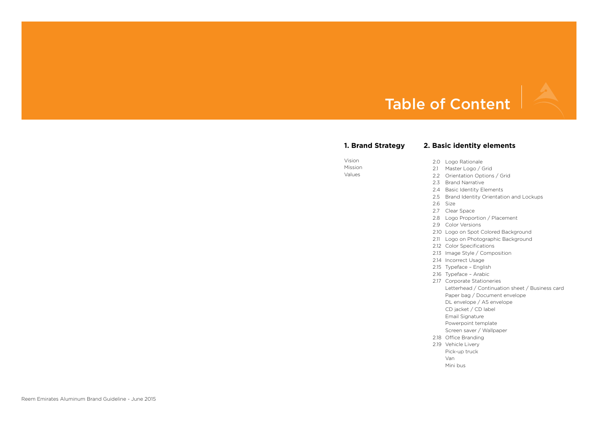### *<u>identity</u>* elements

go Rationale aster Logo / Grid ientation Options / Grid and Narrative isic Identity Elements and Identity Orientation and Lockups ze ear Space go Proportion / Placement lor Versions go on Spot Colored Background go on Photographic Background Ior Specifications age Style / Composition correct Usage peface – English peface - Arabic 2.17 Corporate Stationeries tterhead / Continuation sheet / Business card per bag / Document envelope envelope / A5 envelope (jacket / CD label nail Signature werpoint template reen saver / Wallpaper fice Branding hicle Livery ck-up truck ni bus

### Table of Content

| 1. Brand Strategy           | <b>2. Basic</b> i                                                                                                                                                                                                                                                                                                                                     |
|-----------------------------|-------------------------------------------------------------------------------------------------------------------------------------------------------------------------------------------------------------------------------------------------------------------------------------------------------------------------------------------------------|
| Vision<br>Mission<br>Values | 2.0<br>Log<br>2.1<br>Mas<br>2.2<br>Orie<br>2.3<br><b>Bral</b><br>2.4<br>Bas<br>2.5<br><b>Bral</b><br>2.6<br>Size<br>2.7<br>Clea<br>2.8<br>Log<br>2.9<br>Col<br>2.10<br>Log<br>2.11<br>Log<br>2.12<br>Col<br>2.13<br>Ima<br>2.14<br>Inco<br>2.15<br>Typ<br>2.16<br>Typ<br>2.17<br>Cor<br>Lett<br>Pap<br>DL<br>CD<br>Ema<br>Pov<br>Scre<br>2.18<br>Offi |
|                             | 2.19<br>Veh<br>Pick<br>Van<br>Min                                                                                                                                                                                                                                                                                                                     |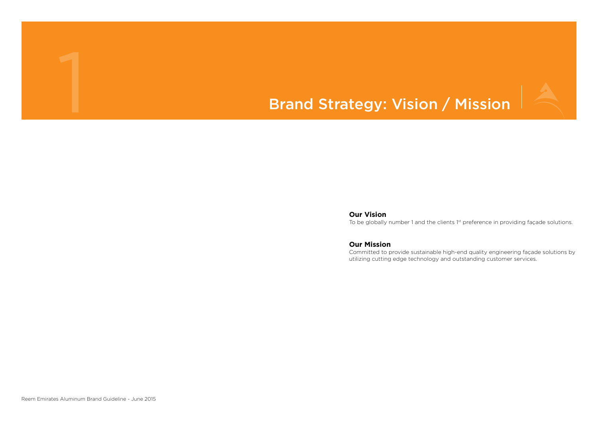Reem Emirates Aluminum Brand Guideline - June 2015



## Brand Strategy: Vision / Mission

**Our Vision** To be globally number 1 and the clients 1st preference in providing façade solutions.

**Our Mission**

Committed to provide sustainable high-end quality engineering façade solutions by utilizing cutting edge technology and outstanding customer services.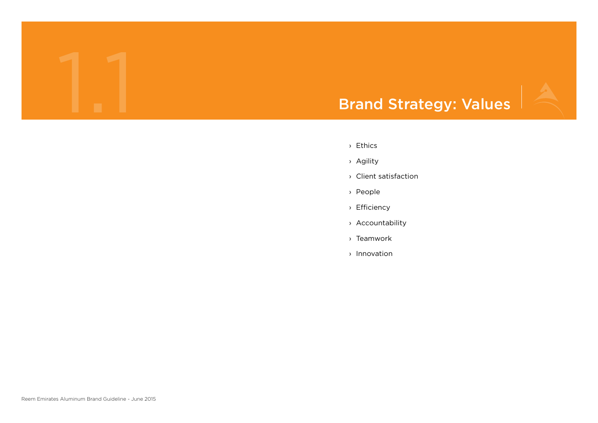

- › Ethics
- › Agility
- › Client satisfaction
- › People
- › Efficiency
- › Accountability
- › Teamwork
- › Innovation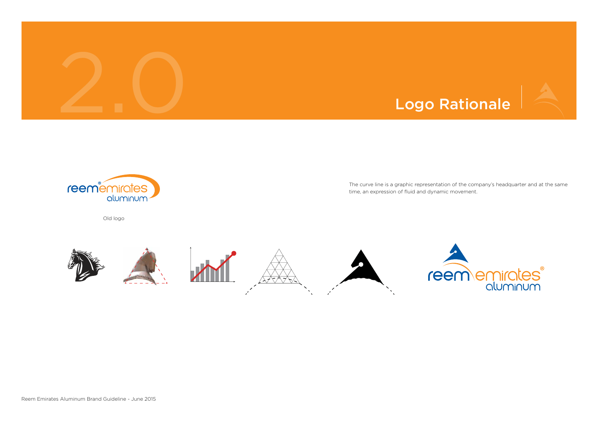



The curve line is a graphic representation of the company's headquarter and at the same time, an expression of fluid and dynamic movement.



Old logo

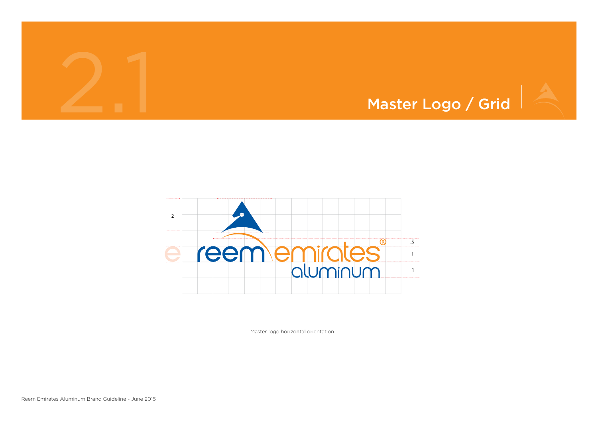



Master logo horizontal orientation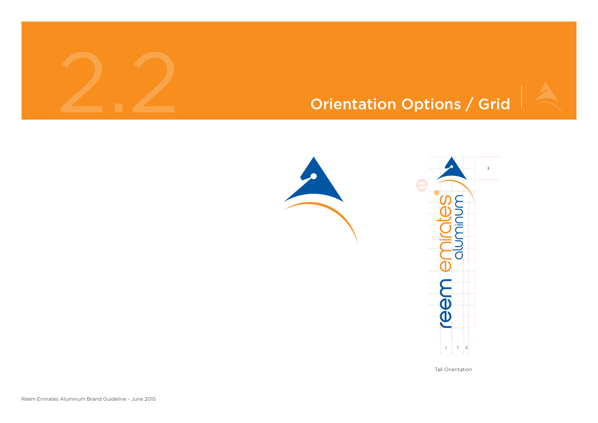

## Orientation Options / Grid









### Tall Orientation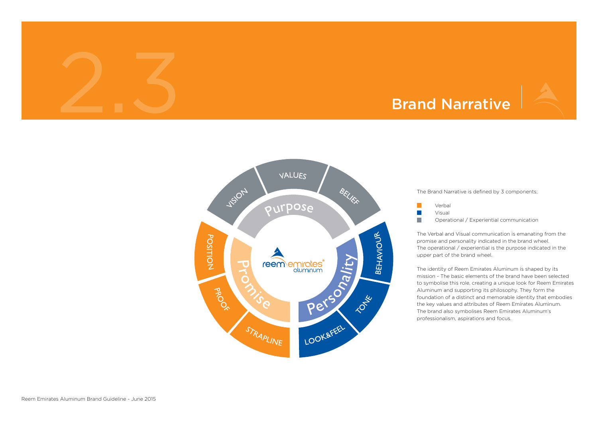### Brand Narrative

The Brand Narrative is defined by 3 components;



Verbal Visual

Operational / Experiential communication

The Verbal and Visual communication is emanating from the promise and personality indicated in the brand wheel. The operational / experiential is the purpose indicated in the upper part of the brand wheel.

The identity of Reem Emirates Aluminum is shaped by its mission - The basic elements of the brand have been selected to symbolise this role, creating a unique look for Reem Emirates Aluminum and supporting its philosophy. They form the foundation of a distinct and memorable identity that embodies the key values and attributes of Reem Emirates Aluminum. The brand also symbolises Reem Emirates Aluminum's professionalism, aspirations and focus.

2.3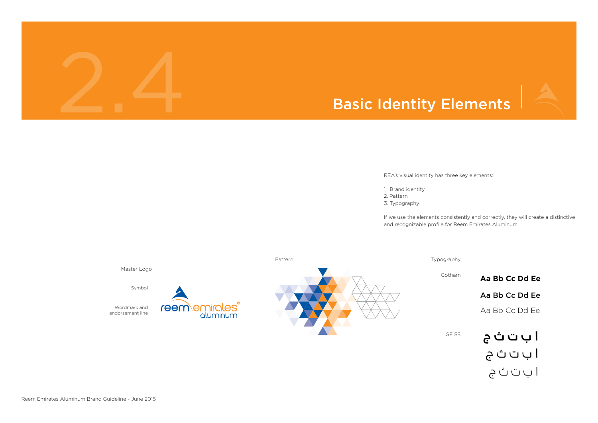



REA's visual identity has three key elements:

1. Brand identity

- 2. Pattern
- 3. Typography

If we use the elements consistently and correctly, they will create a distinctive and recognizable profile for Reem Emirates Aluminum.



GE SS Aa Bb Cc Dd Ee Aa Bb Cc Dd Ee **Aa Bb Cc Dd Ee** ا ب ت ث ج ا ب ت ث ج ا ب ت ث ج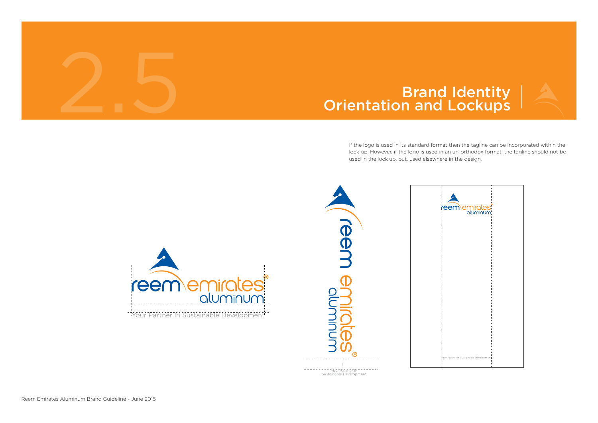Reem Emirates Aluminum Brand Guideline - June 2015

## **Brand Identity<br>Orientation and Lockups**

If the logo is used in its standard format then the tagline can be incorporated within the lock-up. However, if the logo is used in an un-orthodox format, the tagline should not be used in the lock up, but, used elsewhere in the design.



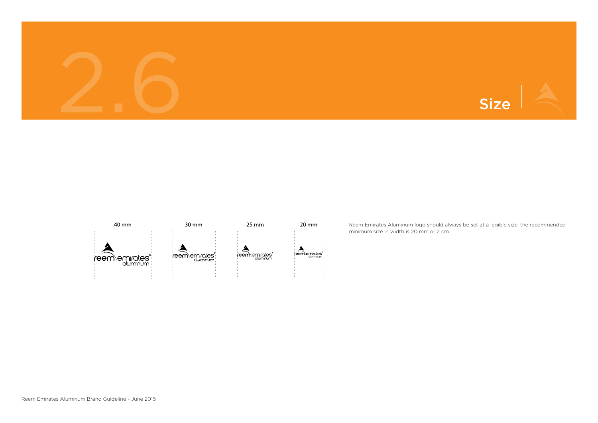





Reem Emirates Aluminum logo should always be set at a legible size, the recommended minimum size in width is 20 mm or 2 cm.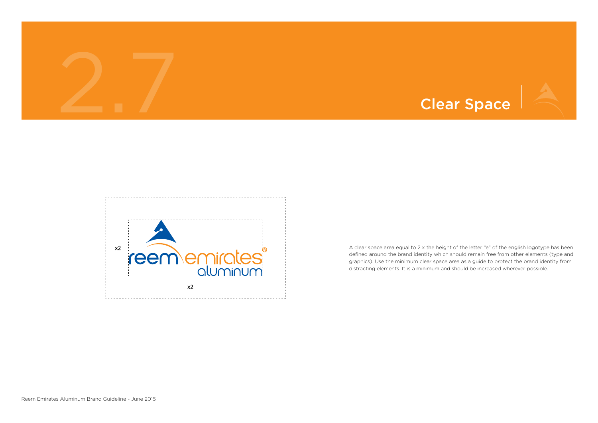





A clear space area equal to 2 x the height of the letter "e" of the english logotype has been defined around the brand identity which should remain free from other elements (type and graphics). Use the minimum clear space area as a guide to protect the brand identity from distracting elements. It is a minimum and should be increased wherever possible.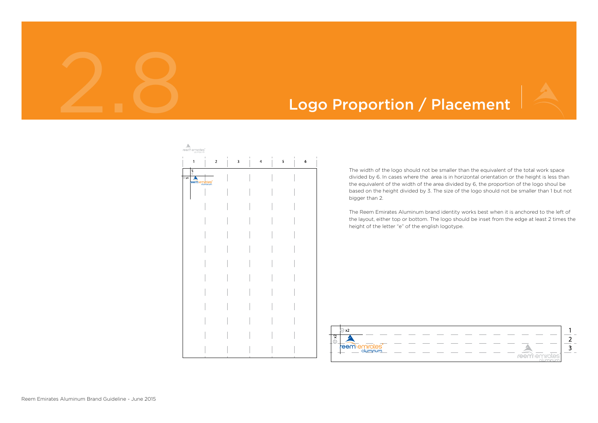

## Logo Proportion / Placement

| reem\emirates®                                                                                                                                                                                                                                                                                                                                                                                   |             |                                          |                      |              |                 |
|--------------------------------------------------------------------------------------------------------------------------------------------------------------------------------------------------------------------------------------------------------------------------------------------------------------------------------------------------------------------------------------------------|-------------|------------------------------------------|----------------------|--------------|-----------------|
| $\begin{array}{c} \rule{0pt}{2.5ex} \rule{0pt}{2.5ex} \rule{0pt}{2.5ex} \rule{0pt}{2.5ex} \rule{0pt}{2.5ex} \rule{0pt}{2.5ex} \rule{0pt}{2.5ex} \rule{0pt}{2.5ex} \rule{0pt}{2.5ex} \rule{0pt}{2.5ex} \rule{0pt}{2.5ex} \rule{0pt}{2.5ex} \rule{0pt}{2.5ex} \rule{0pt}{2.5ex} \rule{0pt}{2.5ex} \rule{0pt}{2.5ex} \rule{0pt}{2.5ex} \rule{0pt}{2.5ex} \rule{0pt}{2.5ex} \rule{0$<br>$\mathbf{1}$ | $\mathbf 2$ | $\mathord{\text{\rm I}}$<br>$\mathbf{3}$ | I.<br>$\overline{4}$ | $\vert$<br>5 | L<br>$\epsilon$ |
| $\oplus$ x4<br>$\blacktriangle$<br>$\oplus$ x4<br>reememinates                                                                                                                                                                                                                                                                                                                                   |             |                                          |                      |              |                 |
|                                                                                                                                                                                                                                                                                                                                                                                                  |             |                                          |                      |              |                 |
|                                                                                                                                                                                                                                                                                                                                                                                                  |             |                                          |                      |              |                 |
|                                                                                                                                                                                                                                                                                                                                                                                                  |             |                                          |                      |              |                 |
|                                                                                                                                                                                                                                                                                                                                                                                                  |             |                                          |                      |              |                 |
|                                                                                                                                                                                                                                                                                                                                                                                                  |             |                                          |                      |              |                 |
|                                                                                                                                                                                                                                                                                                                                                                                                  |             |                                          |                      |              |                 |
|                                                                                                                                                                                                                                                                                                                                                                                                  |             |                                          |                      |              |                 |
|                                                                                                                                                                                                                                                                                                                                                                                                  |             |                                          |                      |              |                 |
|                                                                                                                                                                                                                                                                                                                                                                                                  |             |                                          |                      |              |                 |
|                                                                                                                                                                                                                                                                                                                                                                                                  |             |                                          |                      |              |                 |
|                                                                                                                                                                                                                                                                                                                                                                                                  |             |                                          |                      |              |                 |
|                                                                                                                                                                                                                                                                                                                                                                                                  |             |                                          |                      |              |                 |
|                                                                                                                                                                                                                                                                                                                                                                                                  |             |                                          |                      |              |                 |



The width of the logo should not be smaller than the equivalent of the total work space divided by 6. In cases where the area is in horizontal orientation or the height is less than the equivalent of the width of the area divided by 6, the proportion of the logo shoul be based on the height divided by 3. The size of the logo should not be smaller than 1 but not bigger than 2.

The Reem Emirates Aluminum brand identity works best when it is anchored to the left of the layout, either top or bottom. The logo should be inset from the edge at least 2 times the height of the letter "e" of the english logotype.

| reem emirates |  |  |
|---------------|--|--|
| aluminum      |  |  |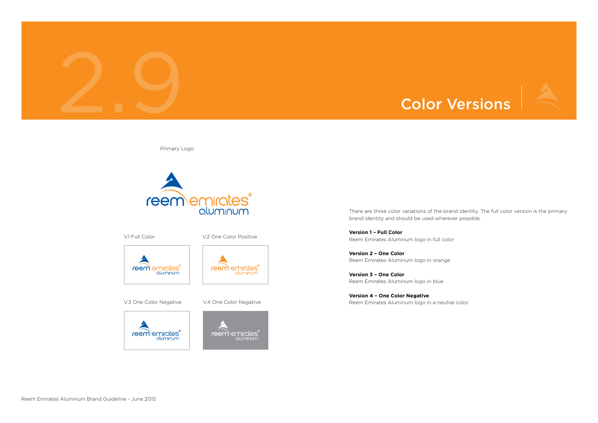



There are three color variations of the brand identity. The full color version is the primary brand identity and should be used wherever possible.

**Version 1 – Full Color** Reem Emirates Aluminum logo in full color

**Version 2 – One Color** Reem Emirates Aluminum logo in orange

**Version 3 – One Color** Reem Emirates Aluminum logo in blue

**Version 4 – One Color Negative** Reem Emirates Aluminum logo in a neutral color

Primary Logo



V.1 Full Color V.2 One Color Positive









**reem**emirates®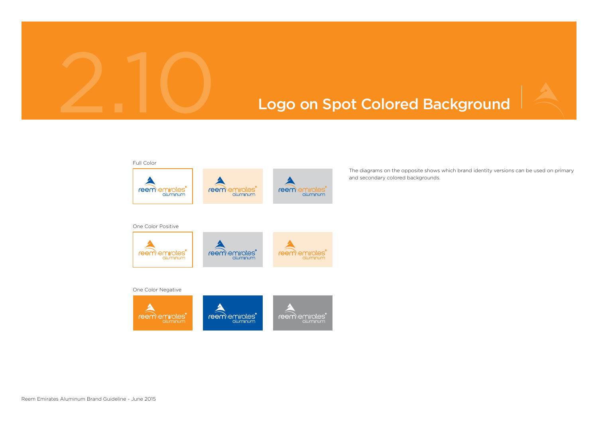



The diagrams on the opposite shows which brand identity versions can be used on primary and secondary colored backgrounds.

### Logo on Spot Colored Background

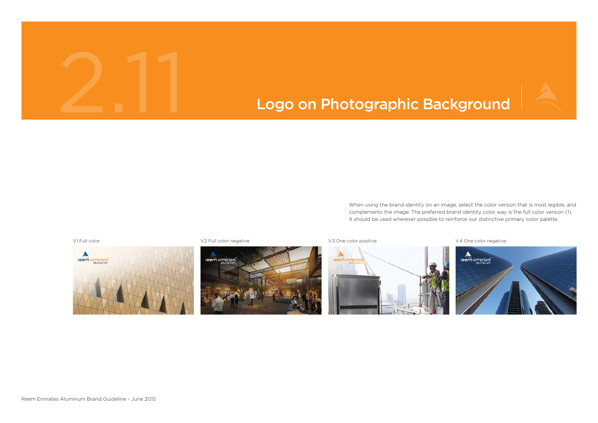V.1 Full color variation of V.2 Full color negative variation variation variation variation variation variation variation variation variation variation variation variation variation variation variation variation variation

2.11





When using the brand identity on an image, select the color version that is most legible, and complements the image. The preferred brand identity color way is the full color version (1). It should be used wherever possible to reinforce our distinctive primary color palette.



## Logo on Photographic Background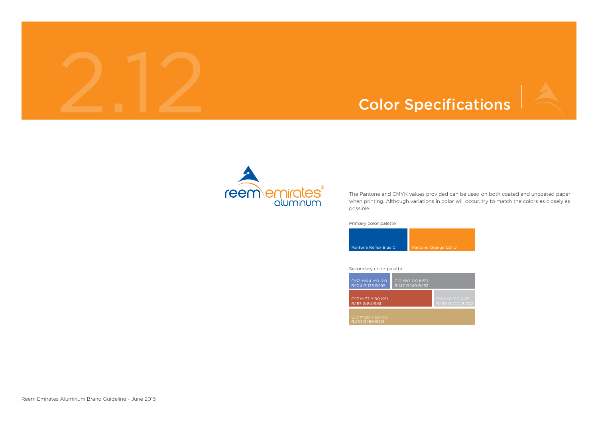## 2.12 Color Specifications



The Pantone and CMYK values provided can be used on both coated and uncoated paper when printing. Although variations in color will occur, try to match the colors as closely as possible.

Primary color palette

| Secondary color palette |  |  |
|-------------------------|--|--|
|                         |  |  |



| C:62 M:44 Y:0 K:0<br>R:104 G:133 B:195  | C:0 M:0 Y:0 K:50<br>R:147 G:149 B:152 |                                |
|-----------------------------------------|---------------------------------------|--------------------------------|
| C:17 M:77 Y:80 K:11<br>R:187 G:84 B:61  |                                       | $\overline{C:O}$ M:C<br>R:199G |
| C:17 M:28 Y:60 K:5<br>R:201 G:169 B:114 |                                       |                                |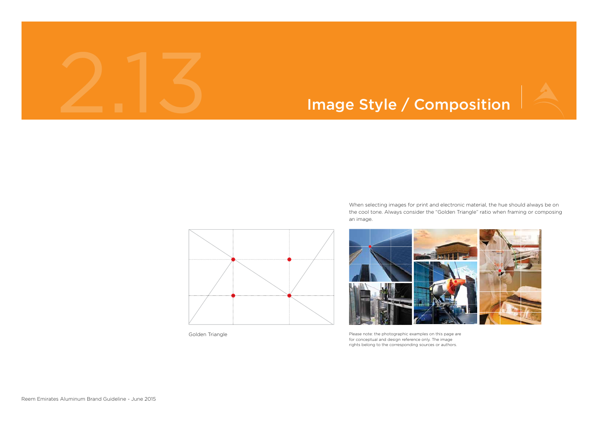### Image Style / Composition



When selecting images for print and electronic material, the hue should always be on the cool tone. Always consider the "Golden Triangle" ratio when framing or composing an image.



Please note: the photographic examples on this page are for conceptual and design reference only. The image rights belong to the corresponding sources or authors.



Golden Triangle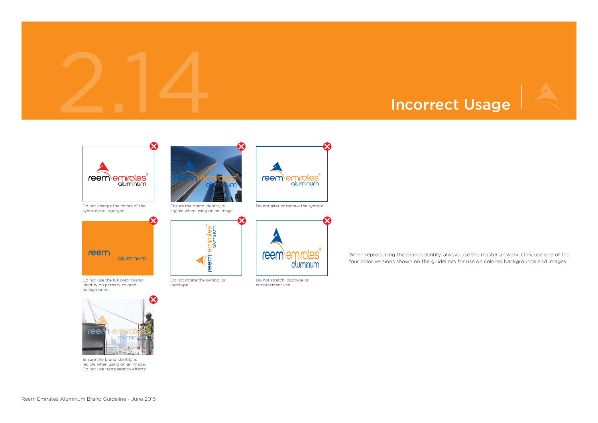

When reproducing the brand identity, always use the master artwork. Only use one of the four color versions shown on the guidelines for use on colored backgrounds and images.



Ensure the brand identity is legible when using on an image. Do not use transparency effects.



Do not change the colors of the symbol and logotype.



Do not use the full color brand identity on primary colored backgrounds.



Do not rotate the symbol or logotype.



Do not stretch logotype or endorsement line.



Ensure the brand identity is legible when using on an image.



Do not alter or redraw the symbol.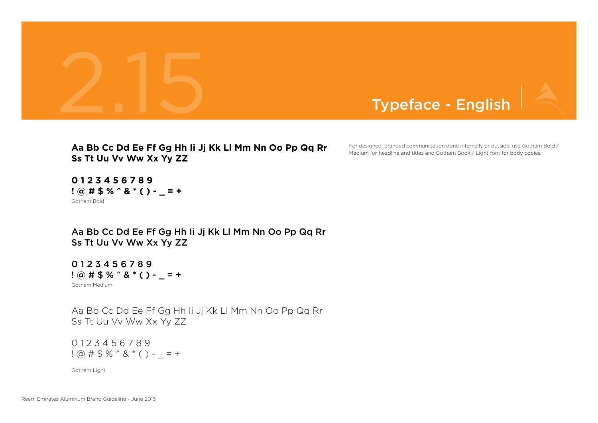



For designed, branded communication done internally or outside, use Gotham Bold / Medium for headline and titles and Gotham Book / Light font for body copies.

0 1 2 3 4 5 6 7 8 9  $! \omega # $ \% \hat{ } 8 * ( ) - = +$ 

Gotham Medium 0 1 2 3 4 5 6 7 8 9  $? @ # $ \% ^{^\circ} @ * ( ) - _{^\circ} = +$ 

Gotham Light

Aa Bb Cc Dd Ee Ff Gg Hh Ii Jj Kk Ll Mm Nn Oo Pp Qq Rr Ss Tt Uu Vv Ww Xx Yy ZZ

Aa Bb Cc Dd Ee Ff Gg Hh Ii Jj Kk Ll Mm Nn Oo Pp Qq Rr Ss Tt Uu Vv Ww Xx Yy ZZ

**Aa Bb Cc Dd Ee Ff Gg Hh Ii Jj Kk Ll Mm Nn Oo Pp Qq Rr Ss Tt Uu Vv Ww Xx Yy ZZ**

Gotham Bold **0 1 2 3 4 5 6 7 8 9 ! @ # \$ % ^ & \* ( ) - \_ = +**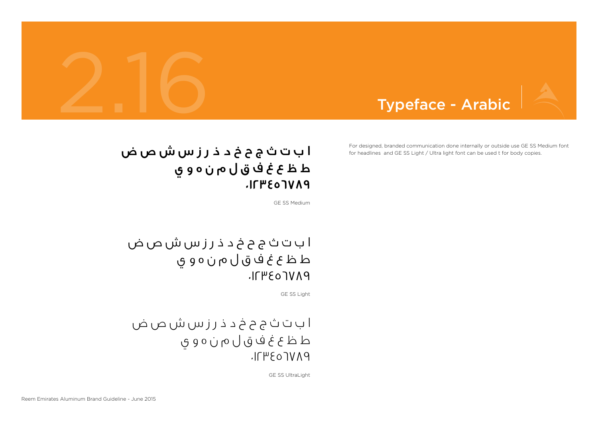### ا ب ت ث ج ح خ د ذ ر ز س ش ص ض ط ظ ع غ ف ق ل م ن ه و ي  $IITP507V19$



GE SS Light

### ا ب ت ث ج ح خ د ذ ر ز س ش ص ض ط ظ ع غ ف ق ل م ن ه و ي PAV<sub>LO3</sub>411.

ا ب ت ث ج ح خ د ذ ر ز س ش ص ض ط ظ ع غ ف ق ل م ن ه و ي  $I/TP507V19$ 

GE SS Medium

GE SS UltraLight

For designed, branded communication done internally or outside use GE SS Medium font for headlines and GE SS Light / Ultra light font can be used t for body copies.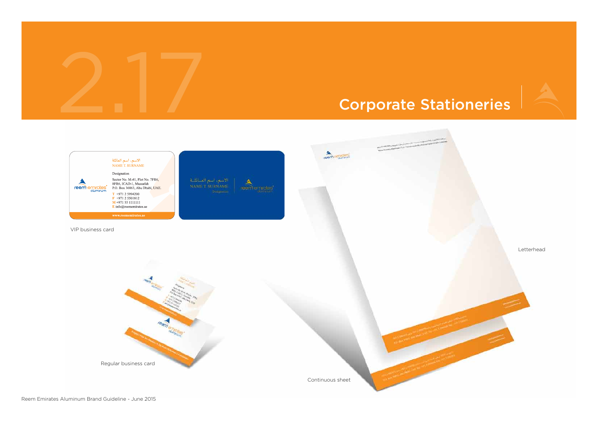## 2.17 Corporate Stationeries

 $\label{eq:2.1} \frac{1}{2\pi i\omega^2\mathcal{D}^2\mathcal{A}(\theta)\mathcal{N}(\log(1000)^{1/2+\epsilon^2\mathcal{D}^2\mathcal{D}^2\mathcal{D}^2\mathcal{D}^2\mathcal{D}^2\mathcal{D}^2\mathcal{D}^2\mathcal{D}^2\mathcal{D}^2\mathcal{D}^2\mathcal{D}^2\mathcal{D}^2\mathcal{D}^2\mathcal{D}^2\mathcal{D}^2\mathcal{D}^2\mathcal{D}^2\mathcal{D}^2\mathcal{D}^2\mathcal{D}^2$ 





Letterhead

Continuous sheet

eem Samun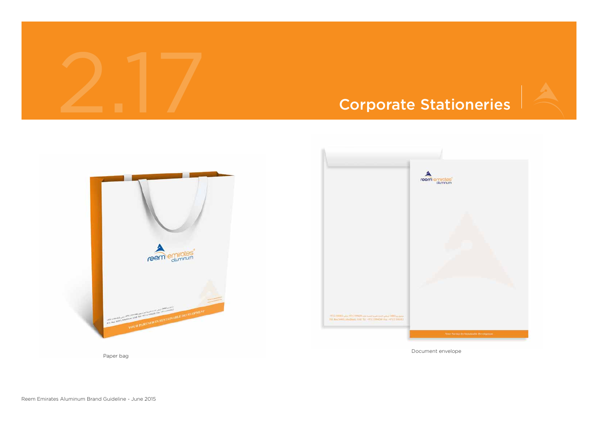

# 2.17 Corporate Stationeries

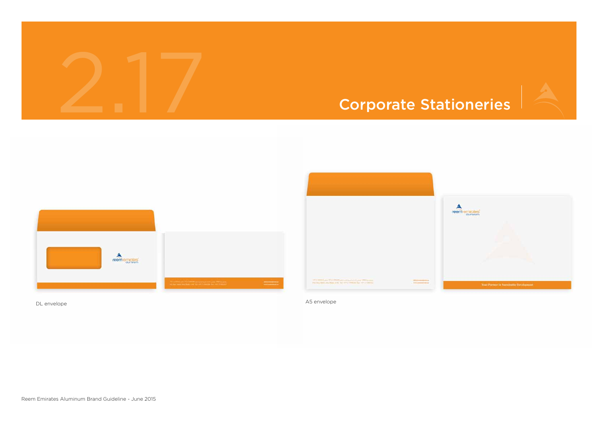

**HERE'S** 



DL envelope A5 envelope A5 envelope A5 envelope A5 envelope A5 envelope A5 envelope A5 envelope A5 envelope A5 envelope

2.17



Your Partner In Sustainable Development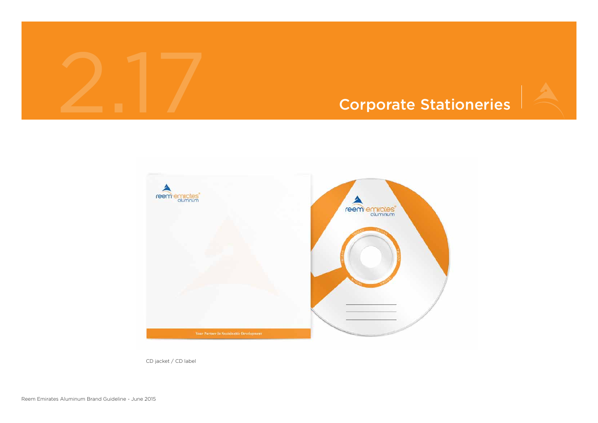

### Corporate Stationeries



CD jacket / CD label

# 2.17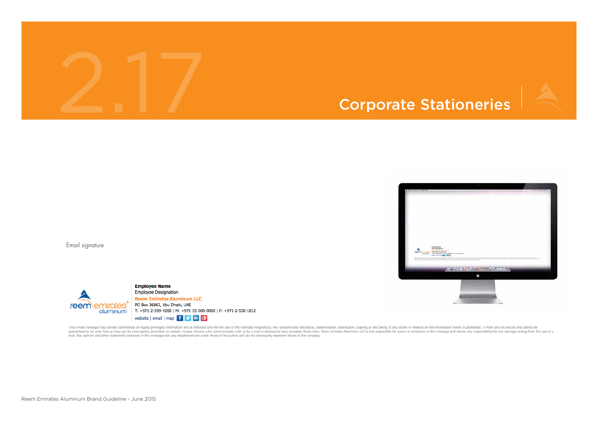## 2.17 Corporate Stationeries



Email signature



**Employee Name Employee Designation Reem Emirates Aluminum LLC** PO Box 36863, Abu Dhabi, UAE T: +971-2-599-4200 | M: +971-55-000-0000 | F: +971-2-550-1812 website | email | map  $\begin{bmatrix} f & \mathcal{O} & \text{in} \end{bmatrix}$ 

This e-mail message may contain confidential or legally privileged information and is intended only for the use of the intended recipient(s). Any unauthorized disclosure, dissemination, distribution, copying or the taking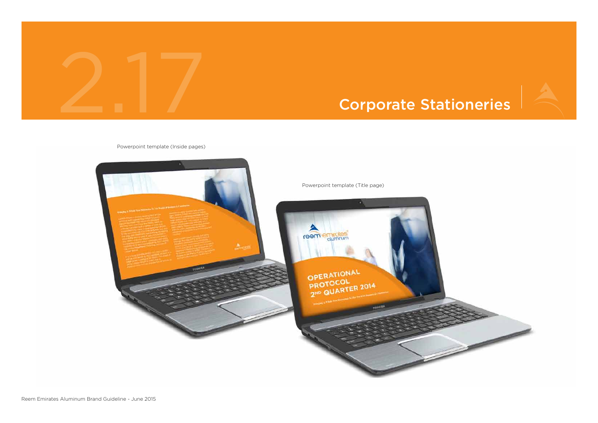

### Corporate Stationeries



### Powerpoint template (Inside pages)

2.17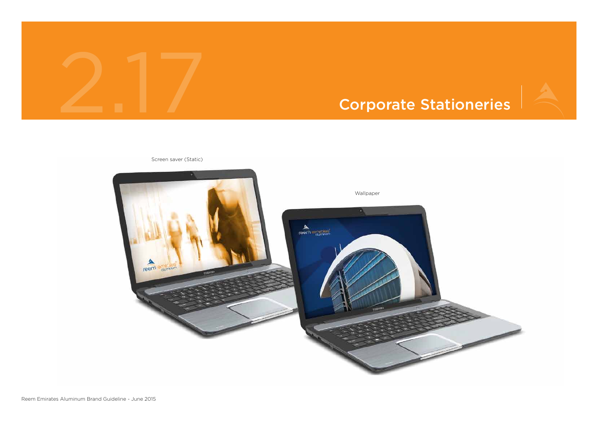

Screen saver (Static)

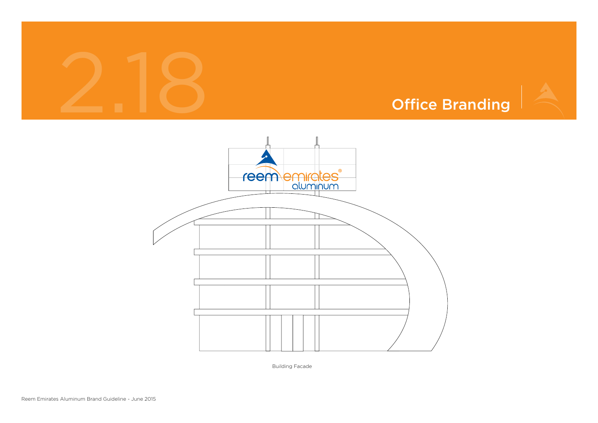



Building Facade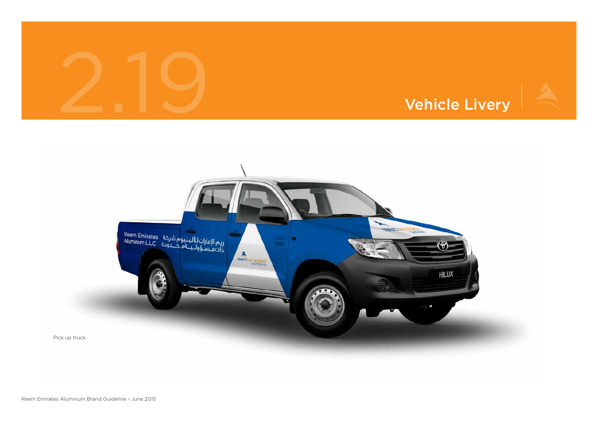

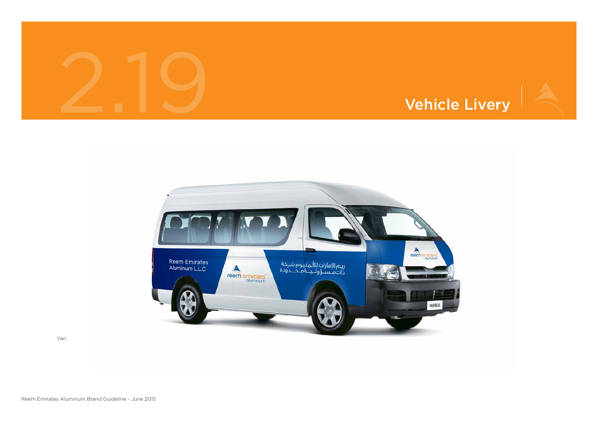



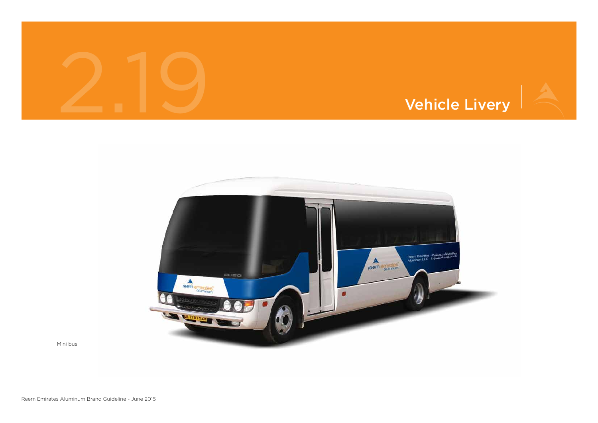



Mini bus